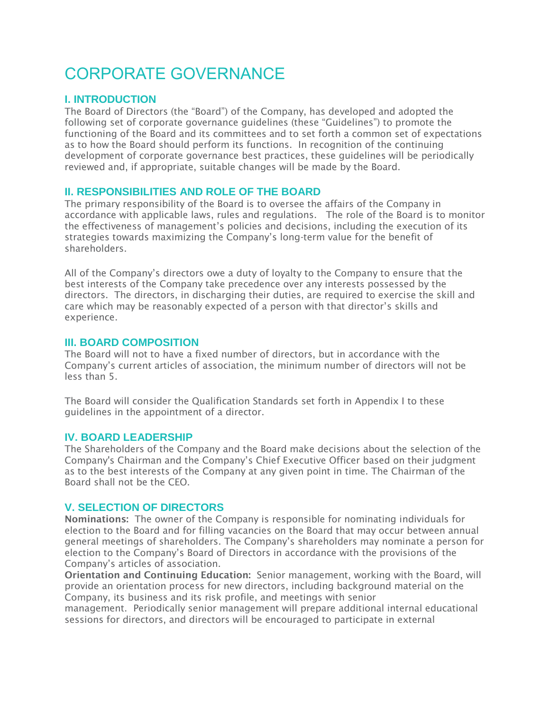# CORPORATE GOVERNANCE

# **I. INTRODUCTION**

The Board of Directors (the "Board") of the Company, has developed and adopted the following set of corporate governance guidelines (these "Guidelines") to promote the functioning of the Board and its committees and to set forth a common set of expectations as to how the Board should perform its functions. In recognition of the continuing development of corporate governance best practices, these guidelines will be periodically reviewed and, if appropriate, suitable changes will be made by the Board.

# **II. RESPONSIBILITIES AND ROLE OF THE BOARD**

The primary responsibility of the Board is to oversee the affairs of the Company in accordance with applicable laws, rules and regulations. The role of the Board is to monitor the effectiveness of management's policies and decisions, including the execution of its strategies towards maximizing the Company's long-term value for the benefit of shareholders.

All of the Company's directors owe a duty of loyalty to the Company to ensure that the best interests of the Company take precedence over any interests possessed by the directors. The directors, in discharging their duties, are required to exercise the skill and care which may be reasonably expected of a person with that director's skills and experience.

# **III. BOARD COMPOSITION**

The Board will not to have a fixed number of directors, but in accordance with the Company's current articles of association, the minimum number of directors will not be less than 5.

The Board will consider the Qualification Standards set forth in Appendix I to these guidelines in the appointment of a director.

# **IV. BOARD LEADERSHIP**

The Shareholders of the Company and the Board make decisions about the selection of the Company's Chairman and the Company's Chief Executive Officer based on their judgment as to the best interests of the Company at any given point in time. The Chairman of the Board shall not be the CEO.

# **V. SELECTION OF DIRECTORS**

Nominations: The owner of the Company is responsible for nominating individuals for election to the Board and for filling vacancies on the Board that may occur between annual general meetings of shareholders. The Company's shareholders may nominate a person for election to the Company's Board of Directors in accordance with the provisions of the Company's articles of association.

Orientation and Continuing Education: Senior management, working with the Board, will provide an orientation process for new directors, including background material on the Company, its business and its risk profile, and meetings with senior

management. Periodically senior management will prepare additional internal educational sessions for directors, and directors will be encouraged to participate in external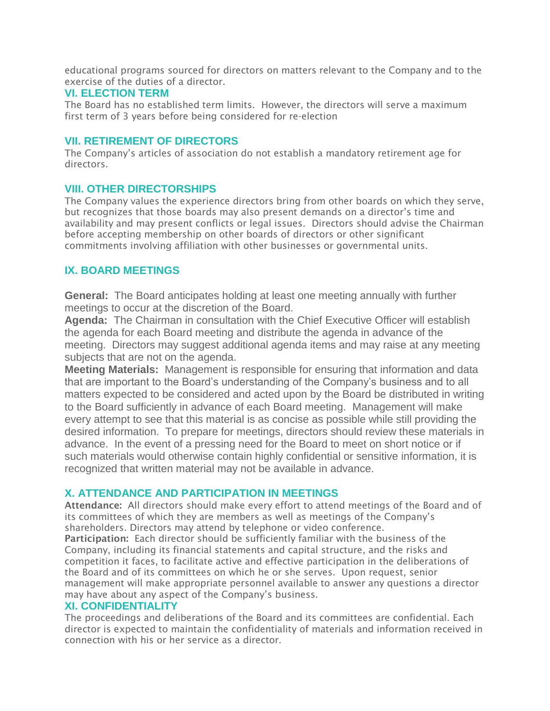educational programs sourced for directors on matters relevant to the Company and to the exercise of the duties of a director.

## **VI. ELECTION TERM**

The Board has no established term limits. However, the directors will serve a maximum first term of 3 years before being considered for re-election

## **VII. RETIREMENT OF DIRECTORS**

The Company's articles of association do not establish a mandatory retirement age for directors.

# **VIII. OTHER DIRECTORSHIPS**

The Company values the experience directors bring from other boards on which they serve, but recognizes that those boards may also present demands on a director's time and availability and may present conflicts or legal issues. Directors should advise the Chairman before accepting membership on other boards of directors or other significant commitments involving affiliation with other businesses or governmental units.

# **IX. BOARD MEETINGS**

**General:** The Board anticipates holding at least one meeting annually with further meetings to occur at the discretion of the Board.

**Agenda:** The Chairman in consultation with the Chief Executive Officer will establish the agenda for each Board meeting and distribute the agenda in advance of the meeting. Directors may suggest additional agenda items and may raise at any meeting subjects that are not on the agenda.

**Meeting Materials:** Management is responsible for ensuring that information and data that are important to the Board's understanding of the Company's business and to all matters expected to be considered and acted upon by the Board be distributed in writing to the Board sufficiently in advance of each Board meeting. Management will make every attempt to see that this material is as concise as possible while still providing the desired information. To prepare for meetings, directors should review these materials in advance. In the event of a pressing need for the Board to meet on short notice or if such materials would otherwise contain highly confidential or sensitive information, it is recognized that written material may not be available in advance.

# **X. ATTENDANCE AND PARTICIPATION IN MEETINGS**

Attendance: All directors should make every effort to attend meetings of the Board and of its committees of which they are members as well as meetings of the Company's shareholders. Directors may attend by telephone or video conference.

Participation: Each director should be sufficiently familiar with the business of the Company, including its financial statements and capital structure, and the risks and competition it faces, to facilitate active and effective participation in the deliberations of the Board and of its committees on which he or she serves. Upon request, senior management will make appropriate personnel available to answer any questions a director may have about any aspect of the Company's business.

## **XI. CONFIDENTIALITY**

The proceedings and deliberations of the Board and its committees are confidential. Each director is expected to maintain the confidentiality of materials and information received in connection with his or her service as a director.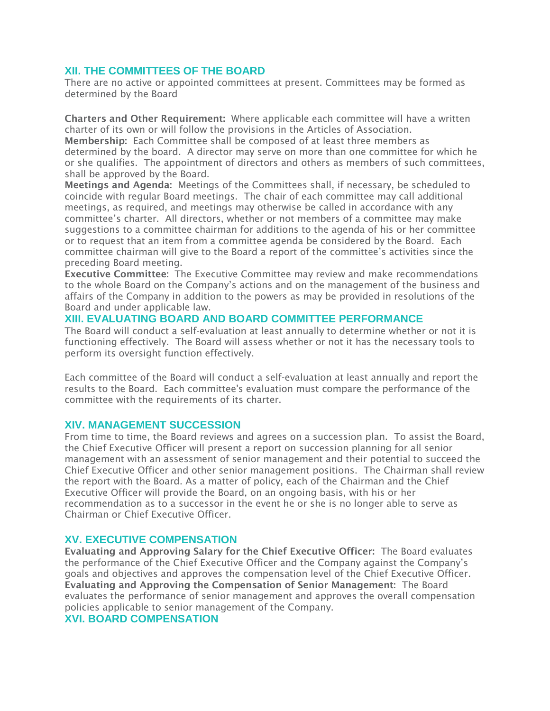## **XII. THE COMMITTEES OF THE BOARD**

There are no active or appointed committees at present. Committees may be formed as determined by the Board

Charters and Other Requirement: Where applicable each committee will have a written charter of its own or will follow the provisions in the Articles of Association. Membership: Each Committee shall be composed of at least three members as determined by the board. A director may serve on more than one committee for which he or she qualifies. The appointment of directors and others as members of such committees, shall be approved by the Board.

Meetings and Agenda: Meetings of the Committees shall, if necessary, be scheduled to coincide with regular Board meetings. The chair of each committee may call additional meetings, as required, and meetings may otherwise be called in accordance with any committee's charter. All directors, whether or not members of a committee may make suggestions to a committee chairman for additions to the agenda of his or her committee or to request that an item from a committee agenda be considered by the Board. Each committee chairman will give to the Board a report of the committee's activities since the preceding Board meeting.

Executive Committee: The Executive Committee may review and make recommendations to the whole Board on the Company's actions and on the management of the business and affairs of the Company in addition to the powers as may be provided in resolutions of the Board and under applicable law.

## **XIII. EVALUATING BOARD AND BOARD COMMITTEE PERFORMANCE**

The Board will conduct a self-evaluation at least annually to determine whether or not it is functioning effectively. The Board will assess whether or not it has the necessary tools to perform its oversight function effectively.

Each committee of the Board will conduct a self-evaluation at least annually and report the results to the Board. Each committee's evaluation must compare the performance of the committee with the requirements of its charter.

## **XIV. MANAGEMENT SUCCESSION**

From time to time, the Board reviews and agrees on a succession plan. To assist the Board, the Chief Executive Officer will present a report on succession planning for all senior management with an assessment of senior management and their potential to succeed the Chief Executive Officer and other senior management positions. The Chairman shall review the report with the Board. As a matter of policy, each of the Chairman and the Chief Executive Officer will provide the Board, on an ongoing basis, with his or her recommendation as to a successor in the event he or she is no longer able to serve as Chairman or Chief Executive Officer.

## **XV. EXECUTIVE COMPENSATION**

Evaluating and Approving Salary for the Chief Executive Officer: The Board evaluates the performance of the Chief Executive Officer and the Company against the Company's goals and objectives and approves the compensation level of the Chief Executive Officer. Evaluating and Approving the Compensation of Senior Management: The Board evaluates the performance of senior management and approves the overall compensation policies applicable to senior management of the Company.

## **XVI. BOARD COMPENSATION**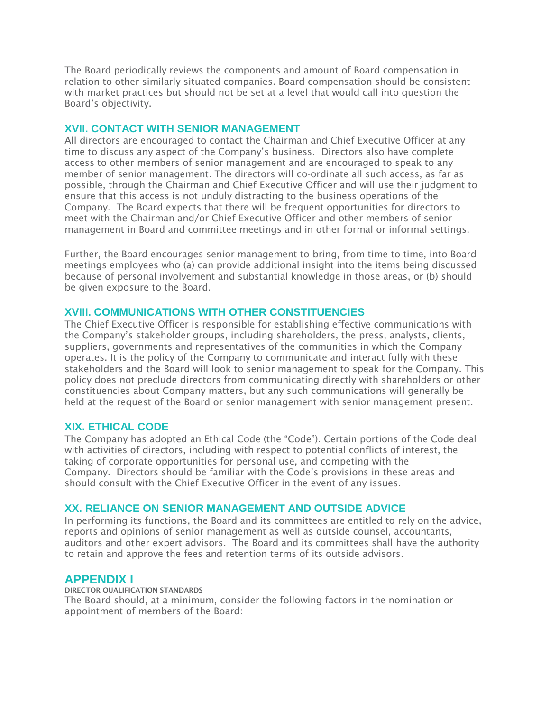The Board periodically reviews the components and amount of Board compensation in relation to other similarly situated companies. Board compensation should be consistent with market practices but should not be set at a level that would call into question the Board's objectivity.

## **XVII. CONTACT WITH SENIOR MANAGEMENT**

All directors are encouraged to contact the Chairman and Chief Executive Officer at any time to discuss any aspect of the Company's business. Directors also have complete access to other members of senior management and are encouraged to speak to any member of senior management. The directors will co-ordinate all such access, as far as possible, through the Chairman and Chief Executive Officer and will use their judgment to ensure that this access is not unduly distracting to the business operations of the Company. The Board expects that there will be frequent opportunities for directors to meet with the Chairman and/or Chief Executive Officer and other members of senior management in Board and committee meetings and in other formal or informal settings.

Further, the Board encourages senior management to bring, from time to time, into Board meetings employees who (a) can provide additional insight into the items being discussed because of personal involvement and substantial knowledge in those areas, or (b) should be given exposure to the Board.

## **XVIII. COMMUNICATIONS WITH OTHER CONSTITUENCIES**

The Chief Executive Officer is responsible for establishing effective communications with the Company's stakeholder groups, including shareholders, the press, analysts, clients, suppliers, governments and representatives of the communities in which the Company operates. It is the policy of the Company to communicate and interact fully with these stakeholders and the Board will look to senior management to speak for the Company. This policy does not preclude directors from communicating directly with shareholders or other constituencies about Company matters, but any such communications will generally be held at the request of the Board or senior management with senior management present.

## **XIX. ETHICAL CODE**

The Company has adopted an Ethical Code (the "Code"). Certain portions of the Code deal with activities of directors, including with respect to potential conflicts of interest, the taking of corporate opportunities for personal use, and competing with the Company. Directors should be familiar with the Code's provisions in these areas and should consult with the Chief Executive Officer in the event of any issues.

## **XX. RELIANCE ON SENIOR MANAGEMENT AND OUTSIDE ADVICE**

In performing its functions, the Board and its committees are entitled to rely on the advice, reports and opinions of senior management as well as outside counsel, accountants, auditors and other expert advisors. The Board and its committees shall have the authority to retain and approve the fees and retention terms of its outside advisors.

# **APPENDIX I**

DIRECTOR QUALIFICATION STANDARDS

The Board should, at a minimum, consider the following factors in the nomination or appointment of members of the Board: